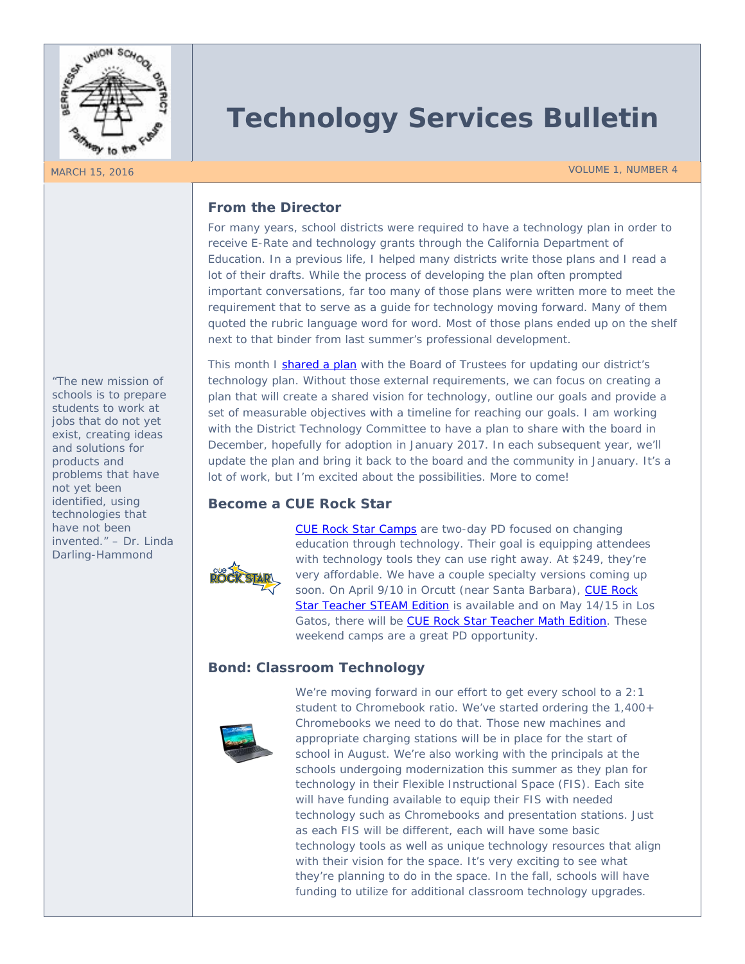

# **Technology Services Bulletin**

MARCH 15, 2016 VOLUME 1, NUMBER 4

### **From the Director**

For many years, school districts were required to have a technology plan in order to receive E-Rate and technology grants through the California Department of Education. In a previous life, I helped many districts write those plans and I read a lot of their drafts. While the process of developing the plan often prompted important conversations, far too many of those plans were written more to meet the requirement that to serve as a guide for technology moving forward. Many of them quoted the rubric language word for word. Most of those plans ended up on the shelf next to that binder from last summer's professional development.

This month I [shared a plan](https://docs.google.com/presentation/d/116IHG4HJQyMKPknG2B63OkXmnykGPm6UKNzKmb9AR9A/edit?usp=sharing) with the Board of Trustees for updating our district's technology plan. Without those external requirements, we can focus on creating a plan that will create a shared vision for technology, outline our goals and provide a set of measurable objectives with a timeline for reaching our goals. I am working with the District Technology Committee to have a plan to share with the board in December, hopefully for adoption in January 2017. In each subsequent year, we'll update the plan and bring it back to the board and the community in January. It's a lot of work, but I'm excited about the possibilities. More to come!

## **Become a CUE Rock Star**



[CUE Rock Star Camps](http://www.cue.org/rockstar/rsinfo) are two-day PD focused on changing education through technology. Their goal is equipping attendees with technology tools they can use right away. At \$249, they're very affordable. We have a couple specialty versions coming up soon. On April 9/10 in Orcutt (near Santa Barbara), CUE Rock [Star Teacher STEAM Edition](http://www.cue.org/rsspecialty/rssteam16) is available and on May 14/15 in Los Gatos, there will be [CUE Rock Star Teacher Math Edition.](http://www.cue.org/rsspecialty/rsmath16) These weekend camps are a great PD opportunity.

# **Bond: Classroom Technology**



We're moving forward in our effort to get every school to a 2:1 student to Chromebook ratio. We've started ordering the 1,400+ Chromebooks we need to do that. Those new machines and appropriate charging stations will be in place for the start of school in August. We're also working with the principals at the schools undergoing modernization this summer as they plan for technology in their Flexible Instructional Space (FIS). Each site will have funding available to equip their FIS with needed technology such as Chromebooks and presentation stations. Just as each FIS will be different, each will have some basic technology tools as well as unique technology resources that align with their vision for the space. It's very exciting to see what they're planning to do in the space. In the fall, schools will have funding to utilize for additional classroom technology upgrades.

*"The new mission of schools is to prepare students to work at jobs that do not yet exist, creating ideas and solutions for products and problems that have not yet been identified, using technologies that have not been invented." – Dr. Linda Darling-Hammond*